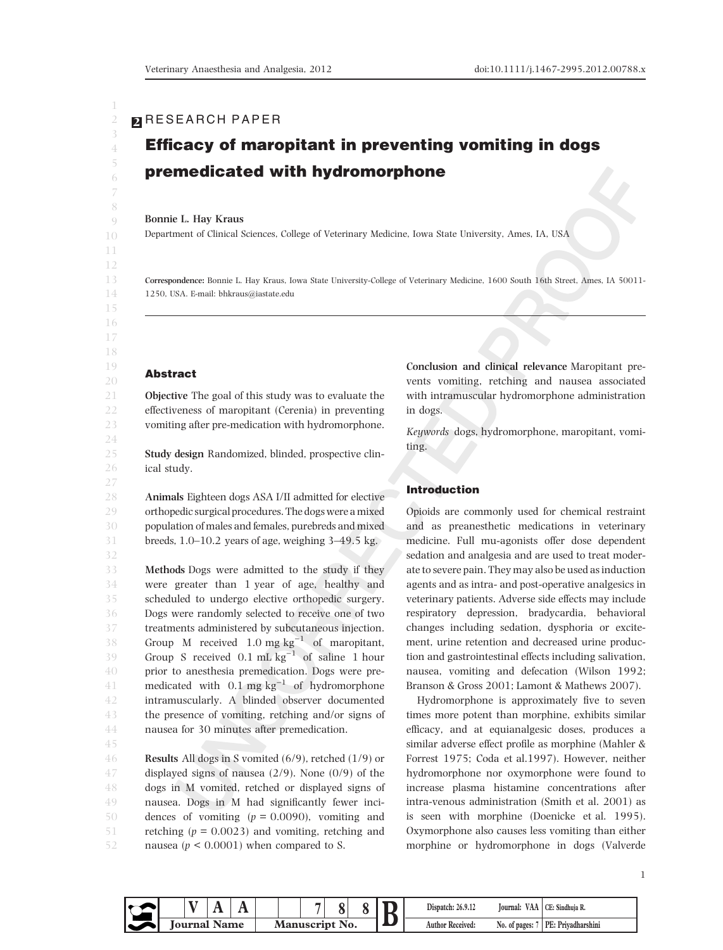# **2** RESEARCH PAPER

# Efficacy of maropitant in preventing vomiting in dogs premedicated with hydromorphone

#### Bonnie L. Hay Kraus

Department of Clinical Sciences, College of Veterinary Medicine, Iowa State University, Ames, IA, USA

Correspondence: Bonnie L. Hay Kraus, Iowa State University-College of Veterinary Medicine, 1600 South 16th Street, Ames, IA 50011- 1250, USA. E-mail: bhkraus@iastate.edu

## Abstract

Objective The goal of this study was to evaluate the effectiveness of maropitant (Cerenia) in preventing vomiting after pre-medication with hydromorphone.

Study design Randomized, blinded, prospective clinical study.

Animals Eighteen dogs ASA I/II admitted for elective orthopedic surgical procedures. The dogs were a mixed population of males and females, purebreds and mixed breeds, 1.0–10.2 years of age, weighing 3–49.5 kg.

Methods Dogs were admitted to the study if they were greater than 1 year of age, healthy and scheduled to undergo elective orthopedic surgery. Dogs were randomly selected to receive one of two treatments administered by subcutaneous injection. Group M received  $1.0 \text{ mg kg}^{-1}$  of maropitant, Group S received  $0.1 \text{ mL kg}^{-1}$  of saline 1 hour prior to anesthesia premedication. Dogs were premedicated with  $0.1 \text{ mg kg}^{-1}$  of hydromorphone intramuscularly. A blinded observer documented the presence of vomiting, retching and/or signs of nausea for 30 minutes after premedication.

Results All dogs in S vomited (6/9), retched (1/9) or displayed signs of nausea (2/9). None (0/9) of the dogs in M vomited, retched or displayed signs of nausea. Dogs in M had significantly fewer incidences of vomiting  $(p = 0.0090)$ , vomiting and retching ( $p = 0.0023$ ) and vomiting, retching and nausea ( $p < 0.0001$ ) when compared to S. 46 47 48 49 50 51 52

Conclusion and clinical relevance Maropitant prevents vomiting, retching and nausea associated with intramuscular hydromorphone administration in dogs.

Keywords dogs, hydromorphone, maropitant, vomiting.

#### Introduction

Opioids are commonly used for chemical restraint and as preanesthetic medications in veterinary medicine. Full mu-agonists offer dose dependent sedation and analgesia and are used to treat moderate to severe pain. They may also be used as induction agents and as intra- and post-operative analgesics in veterinary patients. Adverse side effects may include respiratory depression, bradycardia, behavioral changes including sedation, dysphoria or excitement, urine retention and decreased urine production and gastrointestinal effects including salivation, nausea, vomiting and defecation (Wilson 1992; Branson & Gross 2001; Lamont & Mathews 2007).

Hydromorphone is approximately five to seven times more potent than morphine, exhibits similar efficacy, and at equianalgesic doses, produces a similar adverse effect profile as morphine (Mahler & Forrest 1975; Coda et al.1997). However, neither hydromorphone nor oxymorphone were found to increase plasma histamine concentrations after intra-venous administration (Smith et al. 2001) as is seen with morphine (Doenicke et al. 1995). Oxymorphone also causes less vomiting than either morphine or hydromorphone in dogs (Valverde

 $\begin{array}{|c|c|c|c|c|}\hline & {\bf N}& {\bf A} & \bar{\bf A} & \bar{\bf Z} & \bar{\bf S} & \bar{\bf S} \ \hline \end{array} \begin{array}{|c|c|c|c|c|}\hline \text{Dispatch: 26.9.12} & \text{Journal: VAA} & \text{CE: Sindhuja R.} \ \hline \text{Journal: Name} & \text{Manuscript No.} & \text{Author Received:} & \text{No. of pages: 7} & \text{PE: Priyadharshini} \\\hline \end{array}$ Dispatch: 26.9.12 Journal: VAA CE: Sindhuia R.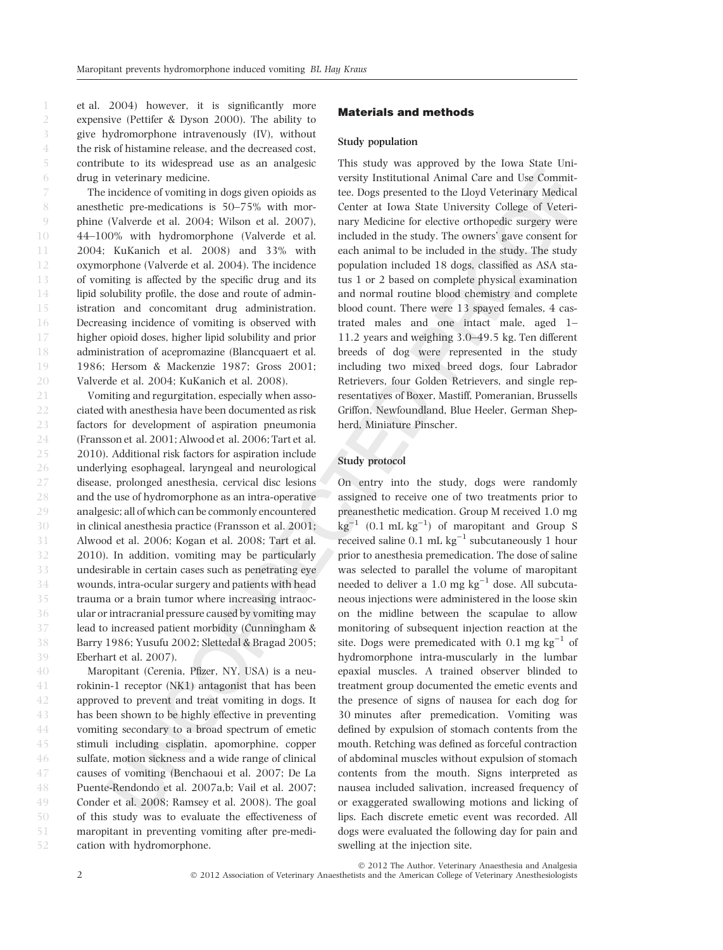et al. 2004) however, it is significantly more expensive (Pettifer & Dyson 2000). The ability to give hydromorphone intravenously (IV), without the risk of histamine release, and the decreased cost, contribute to its widespread use as an analgesic drug in veterinary medicine.

The incidence of vomiting in dogs given opioids as anesthetic pre-medications is 50–75% with morphine (Valverde et al. 2004; Wilson et al. 2007), 44–100% with hydromorphone (Valverde et al. 2004; KuKanich et al. 2008) and 33% with oxymorphone (Valverde et al. 2004). The incidence of vomiting is affected by the specific drug and its lipid solubility profile, the dose and route of administration and concomitant drug administration. Decreasing incidence of vomiting is observed with higher opioid doses, higher lipid solubility and prior administration of acepromazine (Blancquaert et al. 1986; Hersom & Mackenzie 1987; Gross 2001; Valverde et al. 2004; KuKanich et al. 2008).

Vomiting and regurgitation, especially when associated with anesthesia have been documented as risk factors for development of aspiration pneumonia (Fransson et al. 2001; Alwood et al. 2006; Tart et al. 2010). Additional risk factors for aspiration include underlying esophageal, laryngeal and neurological disease, prolonged anesthesia, cervical disc lesions and the use of hydromorphone as an intra-operative analgesic; all of which can be commonly encountered in clinical anesthesia practice (Fransson et al. 2001; Alwood et al. 2006; Kogan et al. 2008; Tart et al. 2010). In addition, vomiting may be particularly undesirable in certain cases such as penetrating eye wounds, intra-ocular surgery and patients with head trauma or a brain tumor where increasing intraocular or intracranial pressure caused by vomiting may lead to increased patient morbidity (Cunningham & Barry 1986; Yusufu 2002; Slettedal & Bragad 2005; Eberhart et al. 2007). 21 22 23 24 25 26 27 28 29 30 31 32 33 34 35 36 37 38 39

Maropitant (Cerenia, Pfizer, NY, USA) is a neurokinin-1 receptor (NK1) antagonist that has been approved to prevent and treat vomiting in dogs. It has been shown to be highly effective in preventing vomiting secondary to a broad spectrum of emetic stimuli including cisplatin, apomorphine, copper sulfate, motion sickness and a wide range of clinical causes of vomiting (Benchaoui et al. 2007; De La Puente-Rendondo et al. 2007a,b; Vail et al. 2007; Conder et al. 2008; Ramsey et al. 2008). The goal of this study was to evaluate the effectiveness of maropitant in preventing vomiting after pre-medication with hydromorphone. 40 41 42 43 44 45 46 47 48 49 50 51 52

#### Materials and methods

#### Study population

This study was approved by the Iowa State University Institutional Animal Care and Use Committee. Dogs presented to the Lloyd Veterinary Medical Center at Iowa State University College of Veterinary Medicine for elective orthopedic surgery were included in the study. The owners' gave consent for each animal to be included in the study. The study population included 18 dogs, classified as ASA status 1 or 2 based on complete physical examination and normal routine blood chemistry and complete blood count. There were 13 spayed females, 4 castrated males and one intact male, aged 1– 11.2 years and weighing 3.0–49.5 kg. Ten different breeds of dog were represented in the study including two mixed breed dogs, four Labrador Retrievers, four Golden Retrievers, and single representatives of Boxer, Mastiff, Pomeranian, Brussells Griffon, Newfoundland, Blue Heeler, German Shepherd, Miniature Pinscher.

#### Study protocol

On entry into the study, dogs were randomly assigned to receive one of two treatments prior to preanesthetic medication. Group M received 1.0 mg  $\text{kg}^{-1}$  (0.1 mL  $\text{kg}^{-1}$ ) of maropitant and Group S received saline  $0.1 \text{ mL kg}^{-1}$  subcutaneously 1 hour prior to anesthesia premedication. The dose of saline was selected to parallel the volume of maropitant needed to deliver a  $1.0 \text{ mg kg}^{-1}$  dose. All subcutaneous injections were administered in the loose skin on the midline between the scapulae to allow monitoring of subsequent injection reaction at the site. Dogs were premedicated with  $0.1$  mg  $\text{kg}^{-1}$  of hydromorphone intra-muscularly in the lumbar epaxial muscles. A trained observer blinded to treatment group documented the emetic events and the presence of signs of nausea for each dog for 30 minutes after premedication. Vomiting was defined by expulsion of stomach contents from the mouth. Retching was defined as forceful contraction of abdominal muscles without expulsion of stomach contents from the mouth. Signs interpreted as nausea included salivation, increased frequency of or exaggerated swallowing motions and licking of lips. Each discrete emetic event was recorded. All dogs were evaluated the following day for pain and swelling at the injection site.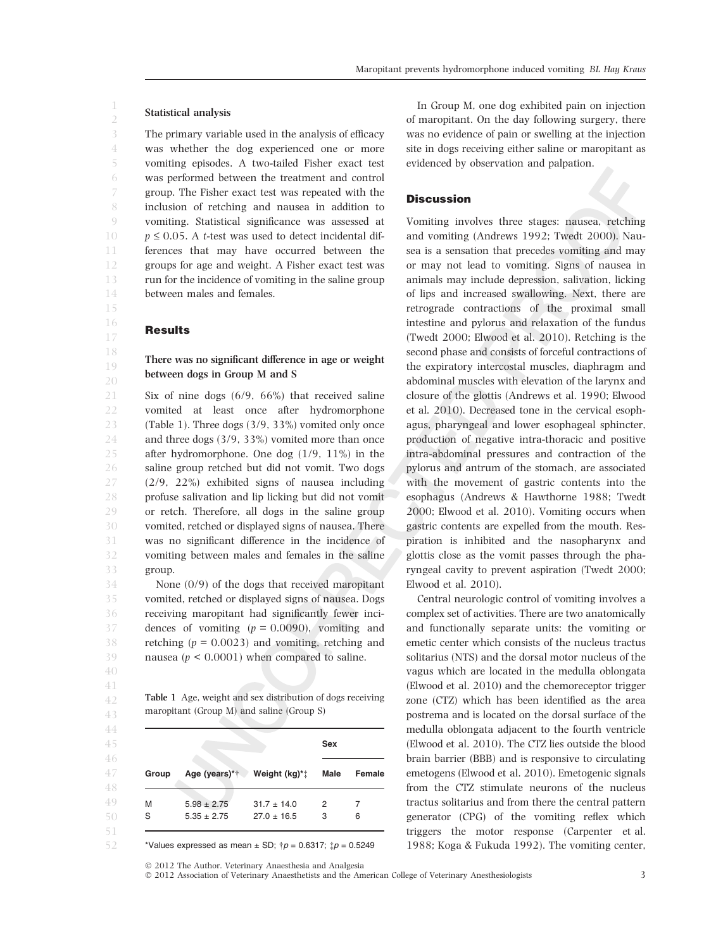#### Statistical analysis

The primary variable used in the analysis of efficacy was whether the dog experienced one or more vomiting episodes. A two-tailed Fisher exact test was performed between the treatment and control group. The Fisher exact test was repeated with the inclusion of retching and nausea in addition to vomiting. Statistical significance was assessed at  $p \le 0.05$ . A *t*-test was used to detect incidental differences that may have occurred between the groups for age and weight. A Fisher exact test was run for the incidence of vomiting in the saline group between males and females.

#### **Results**

# There was no significant difference in age or weight between dogs in Group M and S

Six of nine dogs (6/9, 66%) that received saline vomited at least once after hydromorphone (Table 1). Three dogs (3/9, 33%) vomited only once and three dogs (3/9, 33%) vomited more than once after hydromorphone. One dog (1/9, 11%) in the saline group retched but did not vomit. Two dogs (2/9, 22%) exhibited signs of nausea including profuse salivation and lip licking but did not vomit or retch. Therefore, all dogs in the saline group vomited, retched or displayed signs of nausea. There was no significant difference in the incidence of vomiting between males and females in the saline group.

None (0/9) of the dogs that received maropitant vomited, retched or displayed signs of nausea. Dogs receiving maropitant had significantly fewer incidences of vomiting  $(p = 0.0090)$ , vomiting and retching ( $p = 0.0023$ ) and vomiting, retching and nausea ( $p < 0.0001$ ) when compared to saline.

Table 1 Age, weight and sex distribution of dogs receiving maropitant (Group M) and saline (Group S)

|       |                 |                             | Sex  |               |
|-------|-----------------|-----------------------------|------|---------------|
| Group |                 | Age (years)*† Weight (kg)*‡ | Male | <b>Female</b> |
| M     | $5.98 \pm 2.75$ | $31.7 \pm 14.0$             | 2    |               |
| S     | $5.35 \pm 2.75$ | $27.0 \pm 16.5$             | 3    | 6             |

\*Values expressed as mean  $\pm$  SD;  $\uparrow p = 0.6317$ ;  $\downarrow p = 0.5249$ 

In Group M, one dog exhibited pain on injection of maropitant. On the day following surgery, there was no evidence of pain or swelling at the injection site in dogs receiving either saline or maropitant as evidenced by observation and palpation.

#### **Discussion**

Vomiting involves three stages: nausea, retching and vomiting (Andrews 1992; Twedt 2000). Nausea is a sensation that precedes vomiting and may or may not lead to vomiting. Signs of nausea in animals may include depression, salivation, licking of lips and increased swallowing. Next, there are retrograde contractions of the proximal small intestine and pylorus and relaxation of the fundus (Twedt 2000; Elwood et al. 2010). Retching is the second phase and consists of forceful contractions of the expiratory intercostal muscles, diaphragm and abdominal muscles with elevation of the larynx and closure of the glottis (Andrews et al. 1990; Elwood et al. 2010). Decreased tone in the cervical esophagus, pharyngeal and lower esophageal sphincter, production of negative intra-thoracic and positive intra-abdominal pressures and contraction of the pylorus and antrum of the stomach, are associated with the movement of gastric contents into the esophagus (Andrews & Hawthorne 1988; Twedt 2000; Elwood et al. 2010). Vomiting occurs when gastric contents are expelled from the mouth. Respiration is inhibited and the nasopharynx and glottis close as the vomit passes through the pharyngeal cavity to prevent aspiration (Twedt 2000; Elwood et al. 2010).

Central neurologic control of vomiting involves a complex set of activities. There are two anatomically and functionally separate units: the vomiting or emetic center which consists of the nucleus tractus solitarius (NTS) and the dorsal motor nucleus of the vagus which are located in the medulla oblongata (Elwood et al. 2010) and the chemoreceptor trigger zone (CTZ) which has been identified as the area postrema and is located on the dorsal surface of the medulla oblongata adjacent to the fourth ventricle (Elwood et al. 2010). The CTZ lies outside the blood brain barrier (BBB) and is responsive to circulating emetogens (Elwood et al. 2010). Emetogenic signals from the CTZ stimulate neurons of the nucleus tractus solitarius and from there the central pattern generator (CPG) of the vomiting reflex which triggers the motor response (Carpenter et al. 1988; Koga & Fukuda 1992). The vomiting center,

 $© 2012$  The Author. Veterinary Anaesthesia and Analgesia  $© 2012 Association of Vectorinary Anaesthetists and the American College of Vectorary Anesthesiologists$  3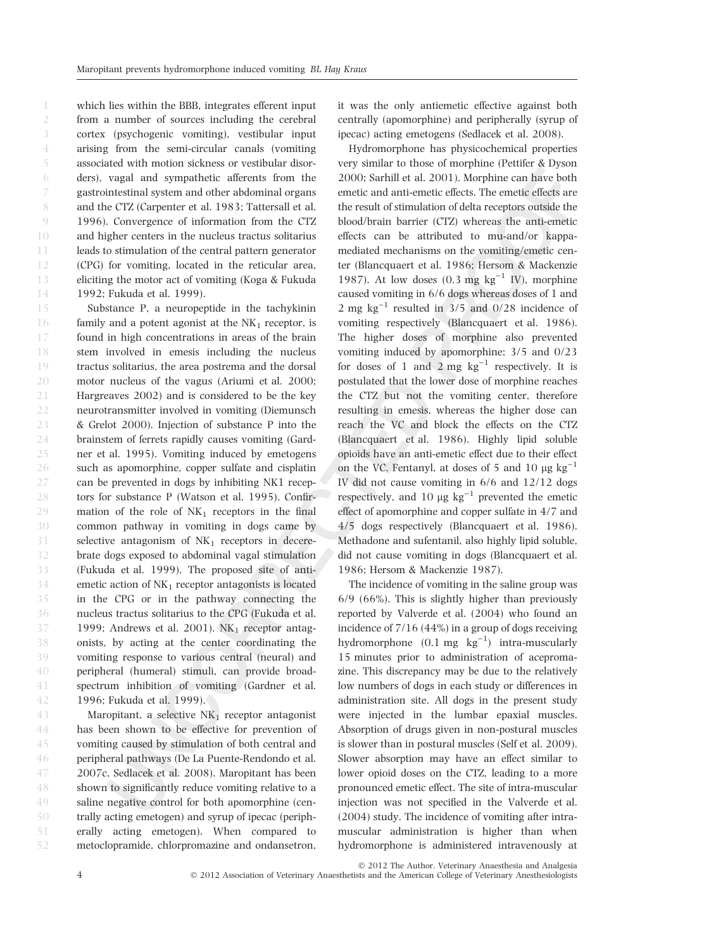which lies within the BBB, integrates efferent input from a number of sources including the cerebral cortex (psychogenic vomiting), vestibular input arising from the semi-circular canals (vomiting associated with motion sickness or vestibular disorders), vagal and sympathetic afferents from the gastrointestinal system and other abdominal organs and the CTZ (Carpenter et al. 1983; Tattersall et al. 1996). Convergence of information from the CTZ and higher centers in the nucleus tractus solitarius leads to stimulation of the central pattern generator (CPG) for vomiting, located in the reticular area, eliciting the motor act of vomiting (Koga & Fukuda 1992; Fukuda et al. 1999). 1 2 3 4 5 6 7 8  $Q$ 10 11 12 13 14

Substance P, a neuropeptide in the tachykinin family and a potent agonist at the  $NK<sub>1</sub>$  receptor, is found in high concentrations in areas of the brain stem involved in emesis including the nucleus tractus solitarius, the area postrema and the dorsal motor nucleus of the vagus (Ariumi et al. 2000; Hargreaves 2002) and is considered to be the key neurotransmitter involved in vomiting (Diemunsch & Grelot 2000). Injection of substance P into the brainstem of ferrets rapidly causes vomiting (Gardner et al. 1995). Vomiting induced by emetogens such as apomorphine, copper sulfate and cisplatin can be prevented in dogs by inhibiting NK1 receptors for substance P (Watson et al. 1995). Confirmation of the role of  $NK_1$  receptors in the final common pathway in vomiting in dogs came by selective antagonism of  $NK<sub>1</sub>$  receptors in decerebrate dogs exposed to abdominal vagal stimulation (Fukuda et al. 1999). The proposed site of antiemetic action of  $NK<sub>1</sub>$  receptor antagonists is located in the CPG or in the pathway connecting the nucleus tractus solitarius to the CPG (Fukuda et al. 1999; Andrews et al. 2001).  $NK<sub>1</sub>$  receptor antagonists, by acting at the center coordinating the vomiting response to various central (neural) and peripheral (humeral) stimuli, can provide broadspectrum inhibition of vomiting (Gardner et al. 1996; Fukuda et al. 1999). 15 16 17 18 19 20 21 22 23 24 25 26 27 28 29 30 31 32 33 34 35 36 37 38 39 40 41 42

Maropitant, a selective  $NK_1$  receptor antagonist has been shown to be effective for prevention of vomiting caused by stimulation of both central and peripheral pathways (De La Puente-Rendondo et al. 2007c, Sedlacek et al. 2008). Maropitant has been shown to significantly reduce vomiting relative to a saline negative control for both apomorphine (centrally acting emetogen) and syrup of ipecac (peripherally acting emetogen). When compared to metoclopramide, chlorpromazine and ondansetron, 43 44 45 46 47 48 49 50 51 52

it was the only antiemetic effective against both centrally (apomorphine) and peripherally (syrup of ipecac) acting emetogens (Sedlacek et al. 2008).

Hydromorphone has physicochemical properties very similar to those of morphine (Pettifer & Dyson 2000; Sarhill et al. 2001). Morphine can have both emetic and anti-emetic effects. The emetic effects are the result of stimulation of delta receptors outside the blood/brain barrier (CTZ) whereas the anti-emetic effects can be attributed to mu-and/or kappamediated mechanisms on the vomiting/emetic center (Blancquaert et al. 1986; Hersom & Mackenzie 1987). At low doses  $(0.3 \text{ mg kg}^{-1} \text{ IV})$ , morphine caused vomiting in 6/6 dogs whereas doses of 1 and 2 mg  $kg^{-1}$  resulted in 3/5 and 0/28 incidence of vomiting respectively (Blancquaert et al. 1986). The higher doses of morphine also prevented vomiting induced by apomorphine; 3/5 and 0/23 for doses of 1 and 2 mg  $kg^{-1}$  respectively. It is postulated that the lower dose of morphine reaches the CTZ but not the vomiting center, therefore resulting in emesis, whereas the higher dose can reach the VC and block the effects on the CTZ (Blancquaert et al. 1986). Highly lipid soluble opioids have an anti-emetic effect due to their effect on the VC. Fentanyl, at doses of 5 and 10  $\mu$ g kg<sup>-1</sup> IV did not cause vomiting in 6/6 and 12/12 dogs respectively, and 10  $\mu$ g  $\text{kg}^{-1}$  prevented the emetic effect of apomorphine and copper sulfate in 4/7 and 4/5 dogs respectively (Blancquaert et al. 1986). Methadone and sufentanil, also highly lipid soluble, did not cause vomiting in dogs (Blancquaert et al. 1986; Hersom & Mackenzie 1987).

The incidence of vomiting in the saline group was 6/9 (66%). This is slightly higher than previously reported by Valverde et al. (2004) who found an incidence of 7/16 (44%) in a group of dogs receiving hydromorphone  $(0.1 \text{ mg } \text{kg}^{-1})$  intra-muscularly 15 minutes prior to administration of acepromazine. This discrepancy may be due to the relatively low numbers of dogs in each study or differences in administration site. All dogs in the present study were injected in the lumbar epaxial muscles. Absorption of drugs given in non-postural muscles is slower than in postural muscles (Self et al. 2009). Slower absorption may have an effect similar to lower opioid doses on the CTZ, leading to a more pronounced emetic effect. The site of intra-muscular injection was not specified in the Valverde et al. (2004) study. The incidence of vomiting after intramuscular administration is higher than when hydromorphone is administered intravenously at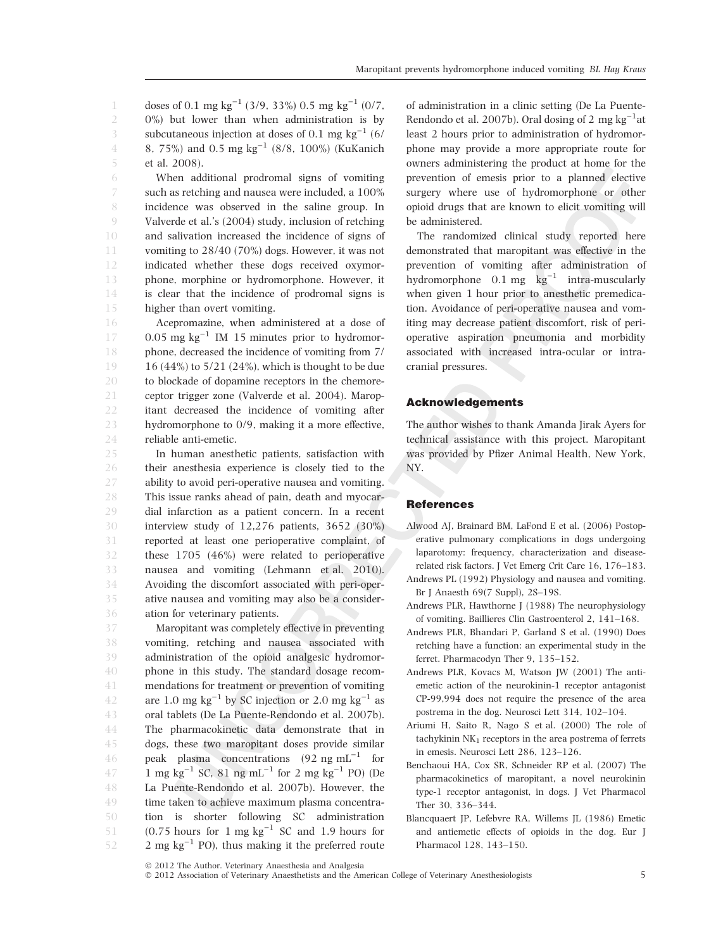doses of 0.1 mg kg<sup>-1</sup> (3/9, 33%) 0.5 mg kg<sup>-1</sup> (0/7, 0%) but lower than when administration is by subcutaneous injection at doses of 0.1 mg  $\text{kg}^{-1}$  (6/ 8, 75%) and  $0.5 \text{ mg kg}^{-1}$  (8/8, 100%) (KuKanich et al. 2008). 1 2 3 4 5

When additional prodromal signs of vomiting such as retching and nausea were included, a 100% incidence was observed in the saline group. In Valverde et al.'s (2004) study, inclusion of retching and salivation increased the incidence of signs of vomiting to 28/40 (70%) dogs. However, it was not indicated whether these dogs received oxymorphone, morphine or hydromorphone. However, it is clear that the incidence of prodromal signs is higher than overt vomiting.

Acepromazine, when administered at a dose of  $0.05$  mg kg<sup>-1</sup> IM 15 minutes prior to hydromorphone, decreased the incidence of vomiting from 7/ 16 (44%) to 5/21 (24%), which is thought to be due to blockade of dopamine receptors in the chemoreceptor trigger zone (Valverde et al. 2004). Maropitant decreased the incidence of vomiting after hydromorphone to 0/9, making it a more effective, reliable anti-emetic. 16 17 18 19 20 21 22 23 24

In human anesthetic patients, satisfaction with their anesthesia experience is closely tied to the ability to avoid peri-operative nausea and vomiting. This issue ranks ahead of pain, death and myocardial infarction as a patient concern. In a recent interview study of 12,276 patients, 3652 (30%) reported at least one perioperative complaint, of these 1705 (46%) were related to perioperative nausea and vomiting (Lehmann et al. 2010). Avoiding the discomfort associated with peri-operative nausea and vomiting may also be a consideration for veterinary patients. 25 26 27 28 29 30 31 32 33 34 35 36

Maropitant was completely effective in preventing vomiting, retching and nausea associated with administration of the opioid analgesic hydromorphone in this study. The standard dosage recommendations for treatment or prevention of vomiting are 1.0 mg  $\text{kg}^{-1}$  by SC injection or 2.0 mg  $\text{kg}^{-1}$  as oral tablets (De La Puente-Rendondo et al. 2007b). The pharmacokinetic data demonstrate that in dogs, these two maropitant doses provide similar peak plasma concentrations  $(92 \text{ ng } \text{mL}^{-1})$  for  $1 \text{ mg kg}^{-1}$  SC,  $81 \text{ ng mL}^{-1}$  for  $2 \text{ mg kg}^{-1}$  PO) (De La Puente-Rendondo et al. 2007b). However, the time taken to achieve maximum plasma concentration is shorter following SC administration  $(0.75$  hours for 1 mg  $\text{kg}^{-1}$  SC and 1.9 hours for  $2 \text{ mg kg}^{-1}$  PO), thus making it the preferred route 37 38 39 40 41 42 43 44 45 46 47 48 49 50 51 52

of administration in a clinic setting (De La Puente-Rendondo et al. 2007b). Oral dosing of 2 mg  $kg^{-1}$ at least 2 hours prior to administration of hydromorphone may provide a more appropriate route for owners administering the product at home for the prevention of emesis prior to a planned elective surgery where use of hydromorphone or other opioid drugs that are known to elicit vomiting will be administered.

The randomized clinical study reported here demonstrated that maropitant was effective in the prevention of vomiting after administration of hydromorphone  $0.1 \text{ mg } \text{ kg}^{-1}$  intra-muscularly when given 1 hour prior to anesthetic premedication. Avoidance of peri-operative nausea and vomiting may decrease patient discomfort, risk of perioperative aspiration pneumonia and morbidity associated with increased intra-ocular or intracranial pressures.

## Acknowledgements

The author wishes to thank Amanda Jirak Ayers for technical assistance with this project. Maropitant was provided by Pfizer Animal Health, New York, NY.

#### **References**

- Alwood AJ, Brainard BM, LaFond E et al. (2006) Postoperative pulmonary complications in dogs undergoing laparotomy: frequency, characterization and diseaserelated risk factors. J Vet Emerg Crit Care 16, 176–183.
- Andrews PL (1992) Physiology and nausea and vomiting. Br J Anaesth 69(7 Suppl), 2S–19S.
- Andrews PLR, Hawthorne J (1988) The neurophysiology of vomiting. Baillieres Clin Gastroenterol 2, 141–168.
- Andrews PLR, Bhandari P, Garland S et al. (1990) Does retching have a function: an experimental study in the ferret. Pharmacodyn Ther 9, 135–152.
- Andrews PLR, Kovacs M, Watson JW (2001) The antiemetic action of the neurokinin-1 receptor antagonist CP-99,994 does not require the presence of the area postrema in the dog. Neurosci Lett 314, 102–104.
- Ariumi H, Saito R, Nago S et al. (2000) The role of tachykinin  $NK<sub>1</sub>$  receptors in the area postrema of ferrets in emesis. Neurosci Lett 286, 123–126.
- Benchaoui HA, Cox SR, Schneider RP et al. (2007) The pharmacokinetics of maropitant, a novel neurokinin type-1 receptor antagonist, in dogs. J Vet Pharmacol Ther 30, 336–344.
- Blancquaert JP, Lefebvre RA, Willems JL (1986) Emetic and antiemetic effects of opioids in the dog. Eur J Pharmacol 128, 143–150.

 $\odot$  2012 Association of Veterinary Anaesthetists and the American College of Veterinary Anesthesiologists 5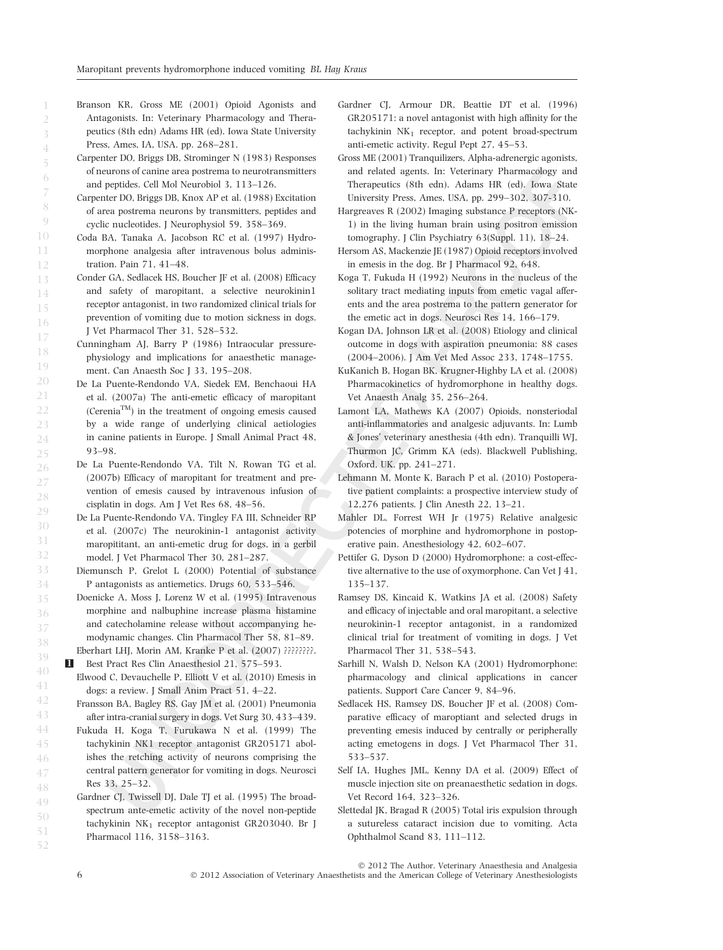Branson KR, Gross ME (2001) Opioid Agonists and Antagonists. In: Veterinary Pharmacology and Therapeutics (8th edn) Adams HR (ed). Iowa State University Press, Ames, IA, USA. pp. 268–281.

- Carpenter DO, Briggs DB, Strominger N (1983) Responses of neurons of canine area postrema to neurotransmitters and peptides. Cell Mol Neurobiol 3, 113–126.
- Carpenter DO, Briggs DB, Knox AP et al. (1988) Excitation of area postrema neurons by transmitters, peptides and cyclic nucleotides. J Neurophysiol 59, 358–369.
- Coda BA, Tanaka A, Jacobson RC et al. (1997) Hydromorphone analgesia after intravenous bolus administration. Pain 71, 41–48.
- Conder GA, Sedlacek HS, Boucher JF et al. (2008) Efficacy and safety of maropitant, a selective neurokinin1 receptor antagonist, in two randomized clinical trials for prevention of vomiting due to motion sickness in dogs. J Vet Pharmacol Ther 31, 528–532.
- Cunningham AJ, Barry P (1986) Intraocular pressurephysiology and implications for anaesthetic management. Can Anaesth Soc J 33, 195-208.
- De La Puente-Rendondo VA, Siedek EM, Benchaoui HA et al. (2007a) The anti-emetic efficacy of maropitant (Cerenia<sup>TM</sup>) in the treatment of ongoing emesis caused by a wide range of underlying clinical aetiologies in canine patients in Europe. J Small Animal Pract 48, 93–98.
- De La Puente-Rendondo VA, Tilt N, Rowan TG et al. (2007b) Efficacy of maropitant for treatment and prevention of emesis caused by intravenous infusion of cisplatin in dogs. Am J Vet Res 68, 48–56.
- De La Puente-Rendondo VA, Tingley FA III, Schneider RP et al. (2007c) The neurokinin-1 antagonist activity maropititant, an anti-emetic drug for dogs, in a gerbil model. J Vet Pharmacol Ther 30, 281–287.
- Diemunsch P, Grelot L (2000) Potential of substance P antagonists as antiemetics. Drugs 60, 533–546.
- Doenicke A, Moss J, Lorenz W et al. (1995) Intravenous morphine and nalbuphine increase plasma histamine and catecholamine release without accompanying hemodynamic changes. Clin Pharmacol Ther 58, 81–89. Eberhart LHJ, Morin AM, Kranke P et al. (2007) ????????.
- 1 Best Pract Res Clin Anaesthesiol 21, 575–593.
	- Elwood C, Devauchelle P, Elliott V et al. (2010) Emesis in dogs: a review. J Small Anim Pract 51, 4–22.
- Fransson BA, Bagley RS, Gay JM et al. (2001) Pneumonia after intra-cranial surgery in dogs. Vet Surg 30, 433–439.
- Fukuda H, Koga T, Furukawa N et al. (1999) The tachykinin NK1 receptor antagonist GR205171 abolishes the retching activity of neurons comprising the central pattern generator for vomiting in dogs. Neurosci Res 33, 25–32.
- Gardner CJ, Twissell DJ, Dale TJ et al. (1995) The broadspectrum ante-emetic activity of the novel non-peptide tachykinin  $NK_1$  receptor antagonist GR203040. Br J Pharmacol 116, 3158–3163. 48 49 50 51 52
- Gardner CJ, Armour DR, Beattie DT et al. (1996) GR205171: a novel antagonist with high affinity for the tachykinin  $NK_1$  receptor, and potent broad-spectrum anti-emetic activity. Regul Pept 27, 45–53.
- Gross ME (2001) Tranquilizers, Alpha-adrenergic agonists, and related agents. In: Veterinary Pharmacology and Therapeutics (8th edn). Adams HR (ed). Iowa State University Press, Ames, USA, pp. 299–302, 307-310.
- Hargreaves R (2002) Imaging substance P receptors (NK-1) in the living human brain using positron emission tomography. J Clin Psychiatry 63(Suppl. 11), 18–24.
- Hersom AS, Mackenzie JE (1987) Opioid receptors involved in emesis in the dog. Br J Pharmacol 92, 648.
- Koga T, Fukuda H (1992) Neurons in the nucleus of the solitary tract mediating inputs from emetic vagal afferents and the area postrema to the pattern generator for the emetic act in dogs. Neurosci Res 14, 166–179.
- Kogan DA, Johnson LR et al. (2008) Etiology and clinical outcome in dogs with aspiration pneumonia: 88 cases (2004–2006). J Am Vet Med Assoc 233, 1748–1755.
- KuKanich B, Hogan BK, Krugner-Highby LA et al. (2008) Pharmacokinetics of hydromorphone in healthy dogs. Vet Anaesth Analg 35, 256–264.
- Lamont LA, Mathews KA (2007) Opioids, nonsteriodal anti-inflammatories and analgesic adjuvants. In: Lumb & Jones' veterinary anesthesia (4th edn). Tranquilli WJ, Thurmon JC, Grimm KA (eds). Blackwell Publishing, Oxford, UK. pp. 241–271.
- Lehmann M, Monte K, Barach P et al. (2010) Postoperative patient complaints: a prospective interview study of 12,276 patients. J Clin Anesth 22, 13–21.
- Mahler DL, Forrest WH Jr (1975) Relative analgesic potencies of morphine and hydromorphone in postoperative pain. Anesthesiology 42, 602–607.
- Pettifer G, Dyson D (2000) Hydromorphone: a cost-effective alternative to the use of oxymorphone. Can Vet J 41, 135–137.
- Ramsey DS, Kincaid K, Watkins JA et al. (2008) Safety and efficacy of injectable and oral maropitant, a selective neurokinin-1 receptor antagonist, in a randomized clinical trial for treatment of vomiting in dogs. J Vet Pharmacol Ther 31, 538–543.
- Sarhill N, Walsh D, Nelson KA (2001) Hydromorphone: pharmacology and clinical applications in cancer patients. Support Care Cancer 9, 84–96.
- Sedlacek HS, Ramsey DS, Boucher JF et al. (2008) Comparative efficacy of maroptiant and selected drugs in preventing emesis induced by centrally or peripherally acting emetogens in dogs. J Vet Pharmacol Ther 31, 533–537.
- Self IA, Hughes JML, Kenny DA et al. (2009) Effect of muscle injection site on preanaesthetic sedation in dogs. Vet Record 164, 323–326.
- Slettedal JK, Bragad R (2005) Total iris expulsion through a sutureless cataract incision due to vomiting. Acta Ophthalmol Scand 83, 111–112.